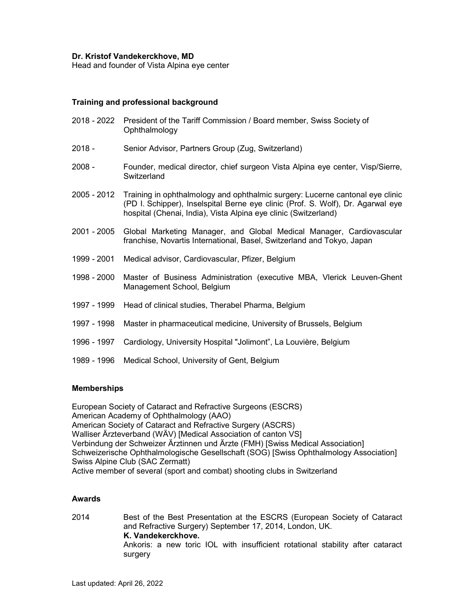#### Dr. Kristof Vandekerckhove, MD

Head and founder of Vista Alpina eye center

### Training and professional background

- 2018 2022 President of the Tariff Commission / Board member, Swiss Society of Ophthalmology
- 2018 Senior Advisor, Partners Group (Zug, Switzerland)
- 2008 Founder, medical director, chief surgeon Vista Alpina eye center, Visp/Sierre, **Switzerland**
- 2005 2012 Training in ophthalmology and ophthalmic surgery: Lucerne cantonal eye clinic (PD I. Schipper), Inselspital Berne eye clinic (Prof. S. Wolf), Dr. Agarwal eye hospital (Chenai, India), Vista Alpina eye clinic (Switzerland)
- 2001 2005 Global Marketing Manager, and Global Medical Manager, Cardiovascular franchise, Novartis International, Basel, Switzerland and Tokyo, Japan
- 1999 2001 Medical advisor, Cardiovascular, Pfizer, Belgium
- 1998 2000 Master of Business Administration (executive MBA, Vlerick Leuven-Ghent Management School, Belgium
- 1997 1999 Head of clinical studies, Therabel Pharma, Belgium
- 1997 1998 Master in pharmaceutical medicine, University of Brussels, Belgium
- 1996 1997 Cardiology, University Hospital "Jolimont", La Louvière, Belgium
- 1989 1996 Medical School, University of Gent, Belgium

#### **Memberships**

European Society of Cataract and Refractive Surgeons (ESCRS) American Academy of Ophthalmology (AAO) American Society of Cataract and Refractive Surgery (ASCRS) Walliser Ärzteverband (WÄV) [Medical Association of canton VS] Verbindung der Schweizer Ärztinnen und Ärzte (FMH) [Swiss Medical Association] Schweizerische Ophthalmologische Gesellschaft (SOG) [Swiss Ophthalmology Association] Swiss Alpine Club (SAC Zermatt) Active member of several (sport and combat) shooting clubs in Switzerland

#### Awards

2014 Best of the Best Presentation at the ESCRS (European Society of Cataract and Refractive Surgery) September 17, 2014, London, UK. K. Vandekerckhove. Ankoris: a new toric IOL with insufficient rotational stability after cataract surgery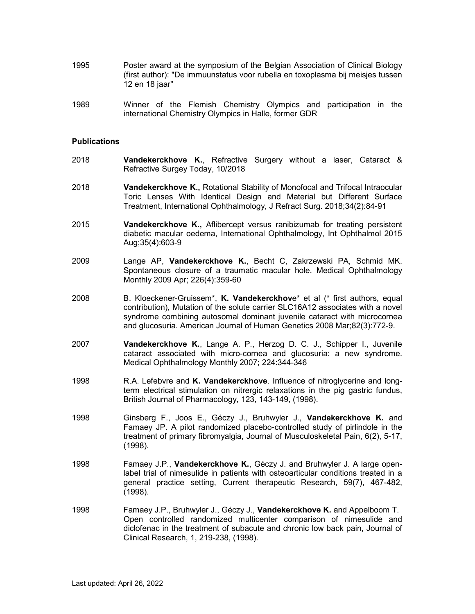- 1995 Poster award at the symposium of the Belgian Association of Clinical Biology (first author): "De immuunstatus voor rubella en toxoplasma bij meisjes tussen 12 en 18 jaar"
- 1989 Winner of the Flemish Chemistry Olympics and participation in the international Chemistry Olympics in Halle, former GDR

#### **Publications**

- 2018 Vandekerckhove K., Refractive Surgery without a laser, Cataract & Refractive Surgey Today, 10/2018
- 2018 Vandekerckhove K., Rotational Stability of Monofocal and Trifocal Intraocular Toric Lenses With Identical Design and Material but Different Surface Treatment, International Ophthalmology, J Refract Surg. 2018;34(2):84-91
- 2015 Vandekerckhove K., Aflibercept versus ranibizumab for treating persistent diabetic macular oedema, International Ophthalmology, Int Ophthalmol 2015 Aug;35(4):603-9
- 2009 Lange AP, Vandekerckhove K., Becht C, Zakrzewski PA, Schmid MK. Spontaneous closure of a traumatic macular hole. Medical Ophthalmology Monthly 2009 Apr; 226(4):359-60
- 2008 B. Kloeckener-Gruissem\*, K. Vandekerckhove\* et al (\* first authors, equal contribution), Mutation of the solute carrier SLC16A12 associates with a novel syndrome combining autosomal dominant juvenile cataract with microcornea and glucosuria. American Journal of Human Genetics 2008 Mar;82(3):772-9.
- 2007 Vandekerckhove K., Lange A. P., Herzog D. C. J., Schipper I., Juvenile cataract associated with micro-cornea and glucosuria: a new syndrome. Medical Ophthalmology Monthly 2007; 224:344-346
- 1998 R.A. Lefebvre and K. Vandekerckhove. Influence of nitroglycerine and longterm electrical stimulation on nitrergic relaxations in the pig gastric fundus, British Journal of Pharmacology, 123, 143-149, (1998).
- 1998 Ginsberg F., Joos E., Géczy J., Bruhwyler J., Vandekerckhove K. and Famaey JP. A pilot randomized placebo-controlled study of pirlindole in the treatment of primary fibromyalgia, Journal of Musculoskeletal Pain, 6(2), 5-17, (1998).
- 1998 Famaey J.P., **Vandekerckhove K.**, Géczy J. and Bruhwyler J. A large openlabel trial of nimesulide in patients with osteoarticular conditions treated in a general practice setting, Current therapeutic Research, 59(7), 467-482, (1998).
- 1998 Famaey J.P., Bruhwyler J., Géczy J., **Vandekerckhove K.** and Appelboom T. Open controlled randomized multicenter comparison of nimesulide and diclofenac in the treatment of subacute and chronic low back pain, Journal of Clinical Research, 1, 219-238, (1998).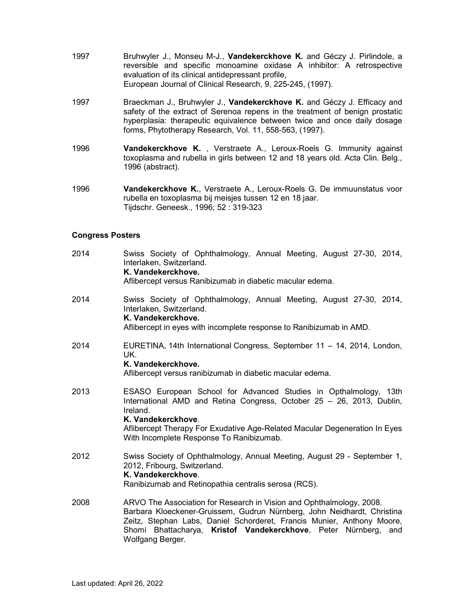- 1997 Bruhwyler J., Monseu M-J., Vandekerckhove K. and Géczy J. Pirlindole, a reversible and specific monoamine oxidase A inhibitor: A retrospective evaluation of its clinical antidepressant profile, European Journal of Clinical Research, 9, 225-245, (1997).
- 1997 Braeckman J., Bruhwyler J., Vandekerckhove K. and Géczy J. Efficacy and safety of the extract of Serenoa repens in the treatment of benign prostatic hyperplasia: therapeutic equivalence between twice and once daily dosage forms, Phytotherapy Research, Vol. 11, 558-563, (1997).
- 1996 **Vandekerckhove K.**, Verstraete A., Leroux-Roels G. Immunity against toxoplasma and rubella in girls between 12 and 18 years old. Acta Clin. Belg., 1996 (abstract).
- 1996 Vandekerckhove K., Verstraete A., Leroux-Roels G. De immuunstatus voor rubella en toxoplasma bij meisjes tussen 12 en 18 jaar. Tijdschr. Geneesk., 1996; 52 : 319-323

## Congress Posters

| 2014 | Swiss Society of Ophthalmology, Annual Meeting, August 27-30, 2014,<br>Interlaken, Switzerland.<br>K. Vandekerckhove.<br>Aflibercept versus Ranibizumab in diabetic macular edema.                                                                                                                               |
|------|------------------------------------------------------------------------------------------------------------------------------------------------------------------------------------------------------------------------------------------------------------------------------------------------------------------|
| 2014 | Swiss Society of Ophthalmology, Annual Meeting, August 27-30, 2014,<br>Interlaken, Switzerland.<br>K. Vandekerckhove.<br>Aflibercept in eyes with incomplete response to Ranibizumab in AMD.                                                                                                                     |
| 2014 | EURETINA, 14th International Congress, September 11 - 14, 2014, London,<br>UK.<br>K. Vandekerckhove.<br>Aflibercept versus ranibizumab in diabetic macular edema.                                                                                                                                                |
| 2013 | ESASO European School for Advanced Studies in Opthalmology, 13th<br>International AMD and Retina Congress, October 25 - 26, 2013, Dublin,<br>Ireland.<br>K. Vandekerckhove.<br>Aflibercept Therapy For Exudative Age-Related Macular Degeneration In Eyes<br>With Incomplete Response To Ranibizumab.            |
| 2012 | Swiss Society of Ophthalmology, Annual Meeting, August 29 - September 1,<br>2012, Fribourg, Switzerland.<br>K. Vandekerckhove.<br>Ranibizumab and Retinopathia centralis serosa (RCS).                                                                                                                           |
| 2008 | ARVO The Association for Research in Vision and Ophthalmology, 2008.<br>Barbara Kloeckener-Gruissem, Gudrun Nürnberg, John Neidhardt, Christina<br>Zeitz, Stephan Labs, Daniel Schorderet, Francis Munier, Anthony Moore,<br>Shomi Bhattacharya, Kristof Vandekerckhove, Peter Nürnberg, and<br>Wolfgang Berger. |